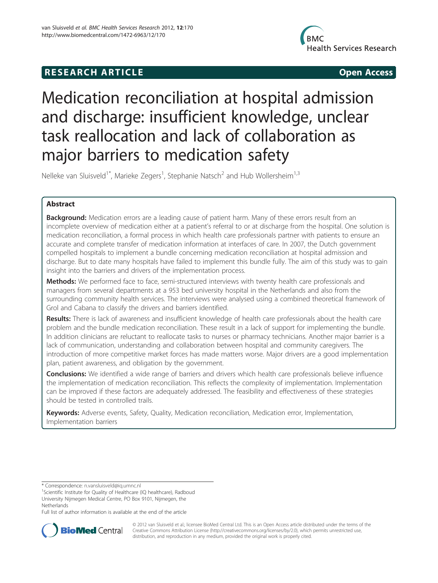# **RESEARCH ARTICLE Example 2018 12:00 Open Access**



# Medication reconciliation at hospital admission and discharge: insufficient knowledge, unclear task reallocation and lack of collaboration as major barriers to medication safety

Nelleke van Sluisveld<sup>1\*</sup>, Marieke Zegers<sup>1</sup>, Stephanie Natsch<sup>2</sup> and Hub Wollersheim<sup>1,3</sup>

# Abstract

**Background:** Medication errors are a leading cause of patient harm. Many of these errors result from an incomplete overview of medication either at a patient's referral to or at discharge from the hospital. One solution is medication reconciliation, a formal process in which health care professionals partner with patients to ensure an accurate and complete transfer of medication information at interfaces of care. In 2007, the Dutch government compelled hospitals to implement a bundle concerning medication reconciliation at hospital admission and discharge. But to date many hospitals have failed to implement this bundle fully. The aim of this study was to gain insight into the barriers and drivers of the implementation process.

Methods: We performed face to face, semi-structured interviews with twenty health care professionals and managers from several departments at a 953 bed university hospital in the Netherlands and also from the surrounding community health services. The interviews were analysed using a combined theoretical framework of Grol and Cabana to classify the drivers and barriers identified.

Results: There is lack of awareness and insufficient knowledge of health care professionals about the health care problem and the bundle medication reconciliation. These result in a lack of support for implementing the bundle. In addition clinicians are reluctant to reallocate tasks to nurses or pharmacy technicians. Another major barrier is a lack of communication, understanding and collaboration between hospital and community caregivers. The introduction of more competitive market forces has made matters worse. Major drivers are a good implementation plan, patient awareness, and obligation by the government.

Conclusions: We identified a wide range of barriers and drivers which health care professionals believe influence the implementation of medication reconciliation. This reflects the complexity of implementation. Implementation can be improved if these factors are adequately addressed. The feasibility and effectiveness of these strategies should be tested in controlled trails.

Keywords: Adverse events, Safety, Quality, Medication reconciliation, Medication error, Implementation, Implementation barriers

\* Correspondence: [n.vansluisveld@iq.umnc.nl](mailto:n.vansluisveld@iq.umnc.nl) <sup>1</sup>

Full list of author information is available at the end of the article



© 2012 van Sluisveld et al.; licensee BioMed Central Ltd. This is an Open Access article distributed under the terms of the Creative Commons Attribution License (<http://creativecommons.org/licenses/by/2.0>), which permits unrestricted use, distribution, and reproduction in any medium, provided the original work is properly cited.

<sup>&</sup>lt;sup>1</sup>Scientific Institute for Quality of Healthcare (IQ healthcare), Radboud University Nijmegen Medical Centre, PO Box 9101, Nijmegen, the Netherlands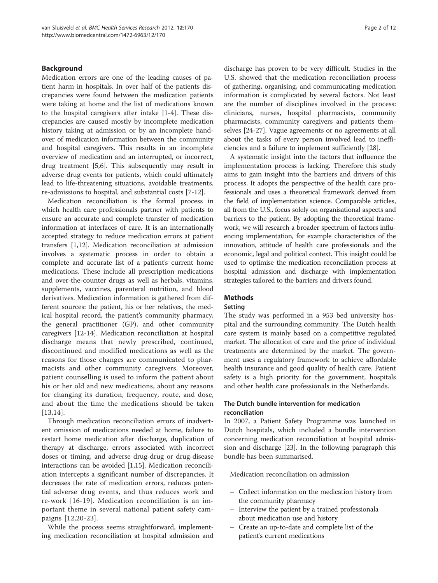## **Background**

Medication errors are one of the leading causes of patient harm in hospitals. In over half of the patients discrepancies were found between the medication patients were taking at home and the list of medications known to the hospital caregivers after intake [\[1](#page-10-0)-[4\]](#page-10-0). These discrepancies are caused mostly by incomplete medication history taking at admission or by an incomplete handover of medication information between the community and hospital caregivers. This results in an incomplete overview of medication and an interrupted, or incorrect, drug treatment [[5,6\]](#page-10-0). This subsequently may result in adverse drug events for patients, which could ultimately lead to life-threatening situations, avoidable treatments, re-admissions to hospital, and substantial costs [[7](#page-10-0)[-12\]](#page-11-0).

Medication reconciliation is the formal process in which health care professionals partner with patients to ensure an accurate and complete transfer of medication information at interfaces of care. It is an internationally accepted strategy to reduce medication errors at patient transfers [[1](#page-10-0),[12](#page-11-0)]. Medication reconciliation at admission involves a systematic process in order to obtain a complete and accurate list of a patient's current home medications. These include all prescription medications and over-the-counter drugs as well as herbals, vitamins, supplements, vaccines, parenteral nutrition, and blood derivatives. Medication information is gathered from different sources: the patient, his or her relatives, the medical hospital record, the patient's community pharmacy, the general practitioner (GP), and other community caregivers [\[12](#page-11-0)-[14\]](#page-11-0). Medication reconciliation at hospital discharge means that newly prescribed, continued, discontinued and modified medications as well as the reasons for those changes are communicated to pharmacists and other community caregivers. Moreover, patient counselling is used to inform the patient about his or her old and new medications, about any reasons for changing its duration, frequency, route, and dose, and about the time the medications should be taken [[13](#page-11-0),[14\]](#page-11-0).

Through medication reconciliation errors of inadvertent omission of medications needed at home, failure to restart home medication after discharge, duplication of therapy at discharge, errors associated with incorrect doses or timing, and adverse drug-drug or drug-disease interactions can be avoided [\[1](#page-10-0),[15](#page-11-0)]. Medication reconciliation intercepts a significant number of discrepancies. It decreases the rate of medication errors, reduces potential adverse drug events, and thus reduces work and re-work [\[16-19\]](#page-11-0). Medication reconciliation is an important theme in several national patient safety campaigns [[12](#page-11-0),[20-23\]](#page-11-0).

While the process seems straightforward, implementing medication reconciliation at hospital admission and discharge has proven to be very difficult. Studies in the U.S. showed that the medication reconciliation process of gathering, organising, and communicating medication information is complicated by several factors. Not least are the number of disciplines involved in the process: clinicians, nurses, hospital pharmacists, community pharmacists, community caregivers and patients themselves [\[24](#page-11-0)-[27\]](#page-11-0). Vague agreements or no agreements at all about the tasks of every person involved lead to inefficiencies and a failure to implement sufficiently [\[28](#page-11-0)].

A systematic insight into the factors that influence the implementation process is lacking. Therefore this study aims to gain insight into the barriers and drivers of this process. It adopts the perspective of the health care professionals and uses a theoretical framework derived from the field of implementation science. Comparable articles, all from the U.S., focus solely on organisational aspects and barriers to the patient. By adopting the theoretical framework, we will research a broader spectrum of factors influencing implementation, for example characteristics of the innovation, attitude of health care professionals and the economic, legal and political context. This insight could be used to optimise the medication reconciliation process at hospital admission and discharge with implementation strategies tailored to the barriers and drivers found.

# **Methods**

#### Setting

The study was performed in a 953 bed university hospital and the surrounding community. The Dutch health care system is mainly based on a competitive regulated market. The allocation of care and the price of individual treatments are determined by the market. The government uses a regulatory framework to achieve affordable health insurance and good quality of health care. Patient safety is a high priority for the government, hospitals and other health care professionals in the Netherlands.

## The Dutch bundle intervention for medication reconciliation

In 2007, a Patient Safety Programme was launched in Dutch hospitals, which included a bundle intervention concerning medication reconciliation at hospital admission and discharge [23]. In the following paragraph this bundle has been summarised.

Medication reconciliation on admission

- Collect information on the medication history from the community pharmacy
- Interview the patient by a trained professionala about medication use and history
- Create an up-to-date and complete list of the patient's current medications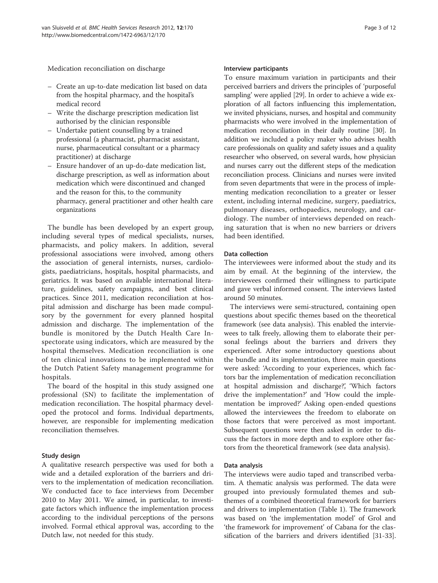Medication reconciliation on discharge

- Create an up-to-date medication list based on data from the hospital pharmacy, and the hospital's medical record
- Write the discharge prescription medication list authorised by the clinician responsible
- Undertake patient counselling by a trained professional (a pharmacist, pharmacist assistant, nurse, pharmaceutical consultant or a pharmacy practitioner) at discharge
- Ensure handover of an up-do-date medication list, discharge prescription, as well as information about medication which were discontinued and changed and the reason for this, to the community pharmacy, general practitioner and other health care organizations

The bundle has been developed by an expert group, including several types of medical specialists, nurses, pharmacists, and policy makers. In addition, several professional associations were involved, among others the association of general internists, nurses, cardiologists, paediatricians, hospitals, hospital pharmacists, and geriatrics. It was based on available international literature, guidelines, safety campaigns, and best clinical practices. Since 2011, medication reconciliation at hospital admission and discharge has been made compulsory by the government for every planned hospital admission and discharge. The implementation of the bundle is monitored by the Dutch Health Care Inspectorate using indicators, which are measured by the hospital themselves. Medication reconciliation is one of ten clinical innovations to be implemented within the Dutch Patient Safety management programme for hospitals.

The board of the hospital in this study assigned one professional (SN) to facilitate the implementation of medication reconciliation. The hospital pharmacy developed the protocol and forms. Individual departments, however, are responsible for implementing medication reconciliation themselves.

#### Study design

A qualitative research perspective was used for both a wide and a detailed exploration of the barriers and drivers to the implementation of medication reconciliation. We conducted face to face interviews from December 2010 to May 2011. We aimed, in particular, to investigate factors which influence the implementation process according to the individual perceptions of the persons involved. Formal ethical approval was, according to the Dutch law, not needed for this study.

#### Interview participants

To ensure maximum variation in participants and their perceived barriers and drivers the principles of 'purposeful sampling' were applied [[29](#page-11-0)]. In order to achieve a wide exploration of all factors influencing this implementation, we invited physicians, nurses, and hospital and community pharmacists who were involved in the implementation of medication reconciliation in their daily routine [\[30\]](#page-11-0). In addition we included a policy maker who advises health care professionals on quality and safety issues and a quality researcher who observed, on several wards, how physician and nurses carry out the different steps of the medication reconciliation process. Clinicians and nurses were invited from seven departments that were in the process of implementing medication reconciliation to a greater or lesser extent, including internal medicine, surgery, paediatrics, pulmonary diseases, orthopaedics, neurology, and cardiology. The number of interviews depended on reaching saturation that is when no new barriers or drivers had been identified.

# Data collection

The interviewees were informed about the study and its aim by email. At the beginning of the interview, the interviewees confirmed their willingness to participate and gave verbal informed consent. The interviews lasted around 50 minutes.

The interviews were semi-structured, containing open questions about specific themes based on the theoretical framework (see data analysis). This enabled the interviewees to talk freely, allowing them to elaborate their personal feelings about the barriers and drivers they experienced. After some introductory questions about the bundle and its implementation, three main questions were asked: 'According to your experiences, which factors bar the implementation of medication reconciliation at hospital admission and discharge?', 'Which factors drive the implementation?' and 'How could the implementation be improved?' Asking open-ended questions allowed the interviewees the freedom to elaborate on those factors that were perceived as most important. Subsequent questions were then asked in order to discuss the factors in more depth and to explore other factors from the theoretical framework (see data analysis).

#### Data analysis

The interviews were audio taped and transcribed verbatim. A thematic analysis was performed. The data were grouped into previously formulated themes and subthemes of a combined theoretical framework for barriers and drivers to implementation (Table [1\)](#page-3-0). The framework was based on 'the implementation model' of Grol and 'the framework for improvement' of Cabana for the classification of the barriers and drivers identified [\[31-33](#page-11-0)].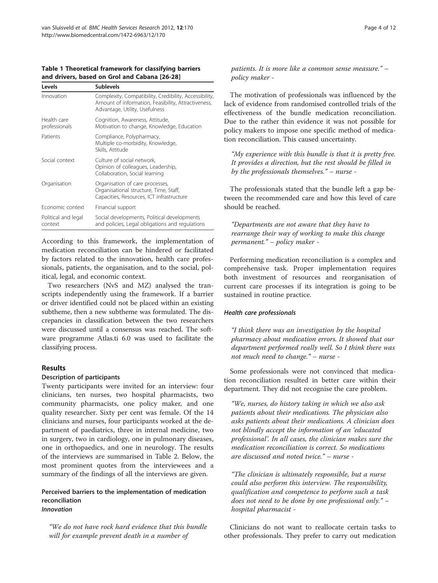#### <span id="page-3-0"></span>Table 1 Theoretical framework for classifying barriers and drivers, based on Grol and Cabana [\[26](#page-11-0)-[28\]](#page-11-0)

| Levels                         | <b>Sublevels</b>                                                                                                                                |
|--------------------------------|-------------------------------------------------------------------------------------------------------------------------------------------------|
| Innovation                     | Complexity, Compatibility, Credibility, Accessibility,<br>Amount of information, Feasibility, Attractiveness,<br>Advantage, Utility, Usefulness |
| Health care<br>professionals   | Cognition, Awareness, Attitude,<br>Motivation to change, Knowledge, Education                                                                   |
| Patients                       | Compliance, Polypharmacy,<br>Multiple co-morbidity, Knowledge,<br>Skills, Attitude                                                              |
| Social context                 | Culture of social network.<br>Opinion of colleagues, Leadership,<br>Collaboration, Social learning                                              |
| Organisation                   | Organisation of care processes,<br>Organisational structure, Time, Staff,<br>Capacities, Resources, ICT infrastructure                          |
| Fconomic context               | Financial support                                                                                                                               |
| Political and legal<br>context | Social developments, Political developments<br>and policies, Legal obligations and regulations                                                  |

According to this framework, the implementation of medication reconciliation can be hindered or facilitated by factors related to the innovation, health care professionals, patients, the organisation, and to the social, political, legal, and economic context.

Two researchers (NvS and MZ) analysed the transcripts independently using the framework. If a barrier or driver identified could not be placed within an existing subtheme, then a new subtheme was formulated. The discrepancies in classification between the two researchers were discussed until a consensus was reached. The software programme Atlas.ti 6.0 was used to facilitate the classifying process.

## Results

#### Description of participants

Twenty participants were invited for an interview: four clinicians, ten nurses, two hospital pharmacists, two community pharmacists, one policy maker, and one quality researcher. Sixty per cent was female. Of the 14 clinicians and nurses, four participants worked at the department of paediatrics, three in internal medicine, two in surgery, two in cardiology, one in pulmonary diseases, one in orthopaedics, and one in neurology. The results of the interviews are summarised in Table [2](#page-4-0). Below, the most prominent quotes from the interviewees and a summary of the findings of all the interviews are given.

#### Perceived barriers to the implementation of medication reconciliation Innovation

"We do not have rock hard evidence that this bundle will for example prevent death in a number of

patients. It is more like a common sense measure." – policy maker -

The motivation of professionals was influenced by the lack of evidence from randomised controlled trials of the effectiveness of the bundle medication reconciliation. Due to the rather thin evidence it was not possible for policy makers to impose one specific method of medication reconciliation. This caused uncertainty.

"My experience with this bundle is that it is pretty free. It provides a direction, but the rest should be filled in by the professionals themselves." – nurse -

The professionals stated that the bundle left a gap between the recommended care and how this level of care should be reached.

"Departments are not aware that they have to rearrange their way of working to make this change permanent." – policy maker -

Performing medication reconciliation is a complex and comprehensive task. Proper implementation requires both investment of resources and reorganisation of current care processes if its integration is going to be sustained in routine practice.

#### Health care professionals

"I think there was an investigation by the hospital pharmacy about medication errors. It showed that our department performed really well. So I think there was not much need to change." – nurse -

Some professionals were not convinced that medication reconciliation resulted in better care within their department. They did not recognise the care problem.

"We, nurses, do history taking in which we also ask patients about their medications. The physician also asks patients about their medications. A clinician does not blindly accept the information of an 'educated professional'. In all cases, the clinician makes sure the medication reconciliation is correct. So medications are discussed and noted twice." – nurse -

"The clinician is ultimately responsible, but a nurse could also perform this interview. The responsibility, qualification and competence to perform such a task does not need to be done by one professional only." – hospital pharmacist -

Clinicians do not want to reallocate certain tasks to other professionals. They prefer to carry out medication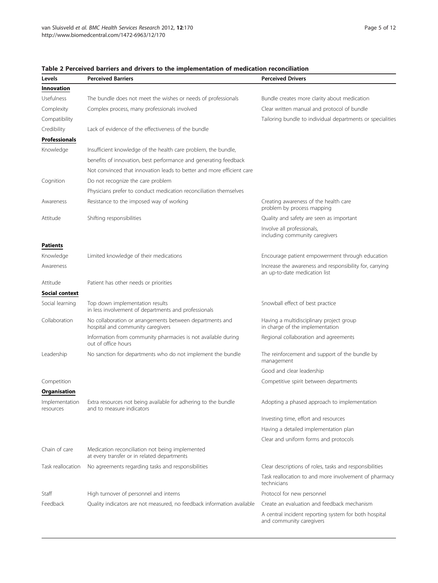| Levels                      | <b>Perceived Barriers</b>                                                                      | <b>Perceived Drivers</b>                                                                 |
|-----------------------------|------------------------------------------------------------------------------------------------|------------------------------------------------------------------------------------------|
| Innovation                  |                                                                                                |                                                                                          |
| <b>Usefulness</b>           | The bundle does not meet the wishes or needs of professionals                                  | Bundle creates more clarity about medication                                             |
| Complexity                  | Complex process, many professionals involved                                                   | Clear written manual and protocol of bundle                                              |
| Compatibility               |                                                                                                | Tailoring bundle to individual departments or specialities                               |
| Credibility                 | Lack of evidence of the effectiveness of the bundle                                            |                                                                                          |
| <b>Professionals</b>        |                                                                                                |                                                                                          |
| Knowledge                   | Insufficient knowledge of the health care problem, the bundle,                                 |                                                                                          |
|                             | benefits of innovation, best performance and generating feedback                               |                                                                                          |
|                             | Not convinced that innovation leads to better and more efficient care                          |                                                                                          |
| Cognition                   | Do not recognize the care problem                                                              |                                                                                          |
|                             | Physicians prefer to conduct medication reconciliation themselves                              |                                                                                          |
| Awareness                   | Resistance to the imposed way of working                                                       | Creating awareness of the health care<br>problem by process mapping                      |
| Attitude                    | Shifting responsibilities                                                                      | Quality and safety are seen as important                                                 |
|                             |                                                                                                | Involve all professionals,<br>including community caregivers                             |
| Patients                    |                                                                                                |                                                                                          |
| Knowledge                   | Limited knowledge of their medications                                                         | Encourage patient empowerment through education                                          |
| Awareness                   |                                                                                                | Increase the awareness and responsibility for, carrying<br>an up-to-date medication list |
| Attitude                    | Patient has other needs or priorities                                                          |                                                                                          |
| Social context              |                                                                                                |                                                                                          |
| Social learning             | Top down implementation results<br>in less involvement of departments and professionals        | Snowball effect of best practice                                                         |
| Collaboration               | No collaboration or arrangements between departments and<br>hospital and community caregivers  | Having a multidisciplinary project group<br>in charge of the implementation              |
|                             | Information from community pharmacies is not available during<br>out of office hours           | Regional collaboration and agreements                                                    |
| Leadership                  | No sanction for departments who do not implement the bundle                                    | The reinforcement and support of the bundle by<br>management                             |
|                             |                                                                                                | Good and clear leadership                                                                |
| Competition                 |                                                                                                | Competitive spirit between departments                                                   |
| Organisation                |                                                                                                |                                                                                          |
| Implementation<br>resources | Extra resources not being available for adhering to the bundle<br>and to measure indicators    | Adopting a phased approach to implementation                                             |
|                             |                                                                                                | Investing time, effort and resources                                                     |
|                             |                                                                                                | Having a detailed implementation plan                                                    |
|                             |                                                                                                | Clear and uniform forms and protocols                                                    |
| Chain of care               | Medication reconciliation not being implemented<br>at every transfer or in related departments |                                                                                          |
| Task reallocation           | No agreements regarding tasks and responsibilities                                             | Clear descriptions of roles, tasks and responsibilities                                  |
|                             |                                                                                                | Task reallocation to and more involvement of pharmacy<br>technicians                     |
| Staff                       | High turnover of personnel and interns                                                         | Protocol for new personnel                                                               |
| Feedback                    | Quality indicators are not measured, no feedback information available                         | Create an evaluation and feedback mechanism                                              |
|                             |                                                                                                | A central incident reporting system for both hospital<br>and community caregivers        |

#### <span id="page-4-0"></span>Table 2 Perceived barriers and drivers to the implementation of medication reconciliation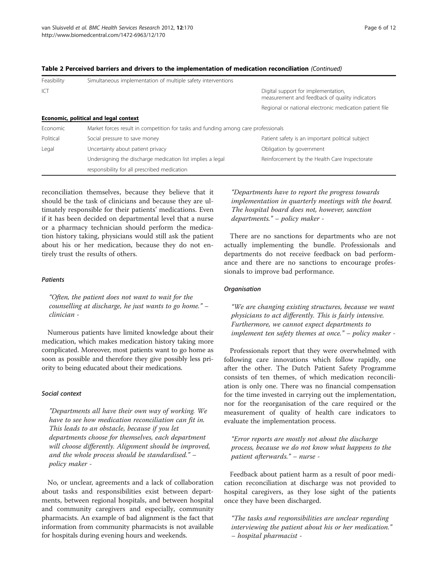| Table 2 Perceived barriers and drivers to the implementation of medication reconciliation (Continued) |  |
|-------------------------------------------------------------------------------------------------------|--|

| Feasibility | Simultaneous implementation of multiple safety interventions                       |                                                                                       |  |
|-------------|------------------------------------------------------------------------------------|---------------------------------------------------------------------------------------|--|
| ICT         |                                                                                    | Digital support for implementation,<br>measurement and feedback of quality indicators |  |
|             |                                                                                    | Regional or national electronic medication patient file                               |  |
|             | Economic, political and legal context                                              |                                                                                       |  |
| Economic    | Market forces result in competition for tasks and funding among care professionals |                                                                                       |  |
| Political   | Social pressure to save money                                                      | Patient safety is an important political subject                                      |  |
| Legal       | Uncertainty about patient privacy                                                  | Obligation by government                                                              |  |
|             | Undersigning the discharge medication list implies a legal                         | Reinforcement by the Health Care Inspectorate                                         |  |
|             | responsibility for all prescribed medication                                       |                                                                                       |  |

reconciliation themselves, because they believe that it should be the task of clinicians and because they are ultimately responsible for their patients' medications. Even if it has been decided on departmental level that a nurse or a pharmacy technician should perform the medication history taking, physicians would still ask the patient about his or her medication, because they do not entirely trust the results of others.

#### Patients

"Often, the patient does not want to wait for the counselling at discharge, he just wants to go home." – clinician -

Numerous patients have limited knowledge about their medication, which makes medication history taking more complicated. Moreover, most patients want to go home as soon as possible and therefore they give possibly less priority to being educated about their medications.

# Social context

"Departments all have their own way of working. We have to see how medication reconciliation can fit in. This leads to an obstacle, because if you let departments choose for themselves, each department will choose differently. Alignment should be improved, and the whole process should be standardised." – policy maker -

No, or unclear, agreements and a lack of collaboration about tasks and responsibilities exist between departments, between regional hospitals, and between hospital and community caregivers and especially, community pharmacists. An example of bad alignment is the fact that information from community pharmacists is not available for hospitals during evening hours and weekends.

"Departments have to report the progress towards implementation in quarterly meetings with the board. The hospital board does not, however, sanction departments." – policy maker -

There are no sanctions for departments who are not actually implementing the bundle. Professionals and departments do not receive feedback on bad performance and there are no sanctions to encourage professionals to improve bad performance.

#### **Organisation**

"We are changing existing structures, because we want physicians to act differently. This is fairly intensive. Furthermore, we cannot expect departments to implement ten safety themes at once." – policy maker -

Professionals report that they were overwhelmed with following care innovations which follow rapidly, one after the other. The Dutch Patient Safety Programme consists of ten themes, of which medication reconciliation is only one. There was no financial compensation for the time invested in carrying out the implementation, nor for the reorganisation of the care required or the measurement of quality of health care indicators to evaluate the implementation process.

"Error reports are mostly not about the discharge process, because we do not know what happens to the patient afterwards." – nurse -

Feedback about patient harm as a result of poor medication reconciliation at discharge was not provided to hospital caregivers, as they lose sight of the patients once they have been discharged.

"The tasks and responsibilities are unclear regarding interviewing the patient about his or her medication." – hospital pharmacist -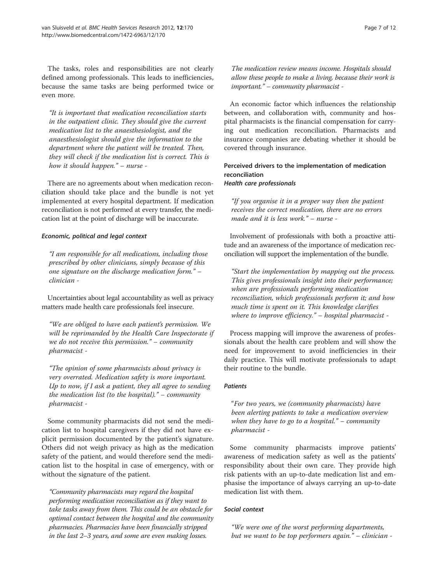The tasks, roles and responsibilities are not clearly defined among professionals. This leads to inefficiencies, because the same tasks are being performed twice or even more.

"It is important that medication reconciliation starts in the outpatient clinic. They should give the current medication list to the anaesthesiologist, and the anaesthesiologist should give the information to the department where the patient will be treated. Then, they will check if the medication list is correct. This is how it should happen." – nurse -

There are no agreements about when medication reconciliation should take place and the bundle is not yet implemented at every hospital department. If medication reconciliation is not performed at every transfer, the medication list at the point of discharge will be inaccurate.

#### Economic, political and legal context

"I am responsible for all medications, including those prescribed by other clinicians, simply because of this one signature on the discharge medication form." – clinician -

Uncertainties about legal accountability as well as privacy matters made health care professionals feel insecure.

"We are obliged to have each patient's permission. We will be reprimanded by the Health Care Inspectorate if we do not receive this permission." – community pharmacist -

"The opinion of some pharmacists about privacy is very overrated. Medication safety is more important. Up to now, if I ask a patient, they all agree to sending the medication list (to the hospital)." – community pharmacist -

Some community pharmacists did not send the medication list to hospital caregivers if they did not have explicit permission documented by the patient's signature. Others did not weigh privacy as high as the medication safety of the patient, and would therefore send the medication list to the hospital in case of emergency, with or without the signature of the patient.

"Community pharmacists may regard the hospital performing medication reconciliation as if they want to take tasks away from them. This could be an obstacle for optimal contact between the hospital and the community pharmacies. Pharmacies have been financially stripped in the last 2–3 years, and some are even making losses.

The medication review means income. Hospitals should allow these people to make a living, because their work is important." – community pharmacist -

An economic factor which influences the relationship between, and collaboration with, community and hospital pharmacists is the financial compensation for carrying out medication reconciliation. Pharmacists and insurance companies are debating whether it should be covered through insurance.

# Perceived drivers to the implementation of medication reconciliation Health care professionals

"If you organise it in a proper way then the patient receives the correct medication, there are no errors made and it is less work." – nurse -

Involvement of professionals with both a proactive attitude and an awareness of the importance of medication reconciliation will support the implementation of the bundle.

"Start the implementation by mapping out the process. This gives professionals insight into their performance; when are professionals performing medication reconciliation, which professionals perform it; and how much time is spent on it. This knowledge clarifies where to improve efficiency." – hospital pharmacist -

Process mapping will improve the awareness of professionals about the health care problem and will show the need for improvement to avoid inefficiencies in their daily practice. This will motivate professionals to adapt their routine to the bundle.

#### Patients

"For two years, we (community pharmacists) have been alerting patients to take a medication overview when they have to go to a hospital." – community pharmacist -

Some community pharmacists improve patients' awareness of medication safety as well as the patients' responsibility about their own care. They provide high risk patients with an up-to-date medication list and emphasise the importance of always carrying an up-to-date medication list with them.

### Social context

"We were one of the worst performing departments, but we want to be top performers again." – clinician -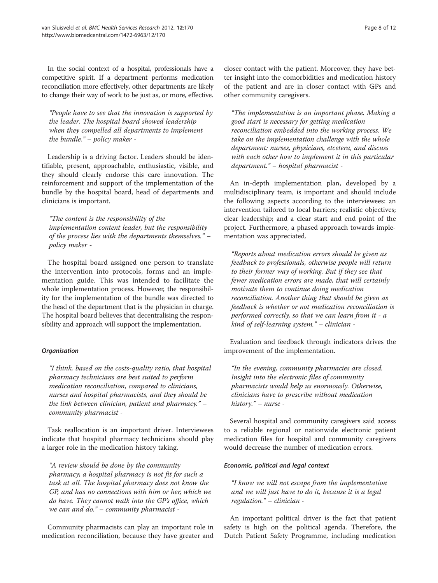In the social context of a hospital, professionals have a competitive spirit. If a department performs medication reconciliation more effectively, other departments are likely to change their way of work to be just as, or more, effective.

"People have to see that the innovation is supported by the leader. The hospital board showed leadership when they compelled all departments to implement the bundle." – policy maker -

Leadership is a driving factor. Leaders should be identifiable, present, approachable, enthusiastic, visible, and they should clearly endorse this care innovation. The reinforcement and support of the implementation of the bundle by the hospital board, head of departments and clinicians is important.

"The content is the responsibility of the implementation content leader, but the responsibility of the process lies with the departments themselves." – policy maker -

The hospital board assigned one person to translate the intervention into protocols, forms and an implementation guide. This was intended to facilitate the whole implementation process. However, the responsibility for the implementation of the bundle was directed to the head of the department that is the physician in charge. The hospital board believes that decentralising the responsibility and approach will support the implementation.

## **Organisation**

"I think, based on the costs-quality ratio, that hospital pharmacy technicians are best suited to perform medication reconciliation, compared to clinicians, nurses and hospital pharmacists, and they should be the link between clinician, patient and pharmacy." – community pharmacist -

Task reallocation is an important driver. Interviewees indicate that hospital pharmacy technicians should play a larger role in the medication history taking.

"A review should be done by the community pharmacy; a hospital pharmacy is not fit for such a task at all. The hospital pharmacy does not know the GP, and has no connections with him or her, which we do have. They cannot walk into the GP's office, which we can and do." - community pharmacist -

Community pharmacists can play an important role in medication reconciliation, because they have greater and closer contact with the patient. Moreover, they have better insight into the comorbidities and medication history of the patient and are in closer contact with GPs and other community caregivers.

"The implementation is an important phase. Making a good start is necessary for getting medication reconciliation embedded into the working process. We take on the implementation challenge with the whole department: nurses, physicians, etcetera, and discuss with each other how to implement it in this particular department." – hospital pharmacist -

An in-depth implementation plan, developed by a multidisciplinary team, is important and should include the following aspects according to the interviewees: an intervention tailored to local barriers; realistic objectives; clear leadership; and a clear start and end point of the project. Furthermore, a phased approach towards implementation was appreciated.

"Reports about medication errors should be given as feedback to professionals, otherwise people will return to their former way of working. But if they see that fewer medication errors are made, that will certainly motivate them to continue doing medication reconciliation. Another thing that should be given as feedback is whether or not medication reconciliation is performed correctly, so that we can learn from it - a kind of self-learning system." – clinician -

Evaluation and feedback through indicators drives the improvement of the implementation.

"In the evening, community pharmacies are closed. Insight into the electronic files of community pharmacists would help us enormously. Otherwise, clinicians have to prescribe without medication history." – nurse -

Several hospital and community caregivers said access to a reliable regional or nationwide electronic patient medication files for hospital and community caregivers would decrease the number of medication errors.

#### Economic, political and legal context

"I know we will not escape from the implementation and we will just have to do it, because it is a legal regulation." – clinician -

An important political driver is the fact that patient safety is high on the political agenda. Therefore, the Dutch Patient Safety Programme, including medication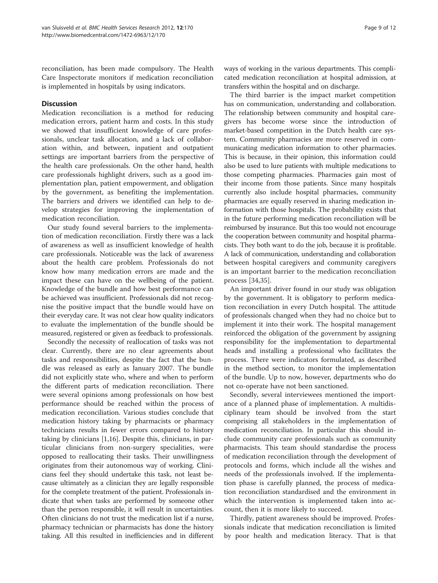reconciliation, has been made compulsory. The Health Care Inspectorate monitors if medication reconciliation is implemented in hospitals by using indicators.

## **Discussion**

Medication reconciliation is a method for reducing medication errors, patient harm and costs. In this study we showed that insufficient knowledge of care professionals, unclear task allocation, and a lack of collaboration within, and between, inpatient and outpatient settings are important barriers from the perspective of the health care professionals. On the other hand, health care professionals highlight drivers, such as a good implementation plan, patient empowerment, and obligation by the government, as benefiting the implementation. The barriers and drivers we identified can help to develop strategies for improving the implementation of medication reconciliation.

Our study found several barriers to the implementation of medication reconciliation. Firstly there was a lack of awareness as well as insufficient knowledge of health care professionals. Noticeable was the lack of awareness about the health care problem. Professionals do not know how many medication errors are made and the impact these can have on the wellbeing of the patient. Knowledge of the bundle and how best performance can be achieved was insufficient. Professionals did not recognise the positive impact that the bundle would have on their everyday care. It was not clear how quality indicators to evaluate the implementation of the bundle should be measured, registered or given as feedback to professionals.

Secondly the necessity of reallocation of tasks was not clear. Currently, there are no clear agreements about tasks and responsibilities, despite the fact that the bundle was released as early as January 2007. The bundle did not explicitly state who, where and when to perform the different parts of medication reconciliation. There were several opinions among professionals on how best performance should be reached within the process of medication reconciliation. Various studies conclude that medication history taking by pharmacists or pharmacy technicians results in fewer errors compared to history taking by clinicians [\[1](#page-10-0)[,16\]](#page-11-0). Despite this, clinicians, in particular clinicians from non-surgery specialities, were opposed to reallocating their tasks. Their unwillingness originates from their autonomous way of working. Clinicians feel they should undertake this task, not least because ultimately as a clinician they are legally responsible for the complete treatment of the patient. Professionals indicate that when tasks are performed by someone other than the person responsible, it will result in uncertainties. Often clinicians do not trust the medication list if a nurse, pharmacy technician or pharmacists has done the history taking. All this resulted in inefficiencies and in different ways of working in the various departments. This complicated medication reconciliation at hospital admission, at transfers within the hospital and on discharge.

The third barrier is the impact market competition has on communication, understanding and collaboration. The relationship between community and hospital caregivers has become worse since the introduction of market-based competition in the Dutch health care system. Community pharmacies are more reserved in communicating medication information to other pharmacies. This is because, in their opinion, this information could also be used to lure patients with multiple medications to those competing pharmacies. Pharmacies gain most of their income from those patients. Since many hospitals currently also include hospital pharmacies, community pharmacies are equally reserved in sharing medication information with those hospitals. The probability exists that in the future performing medication reconciliation will be reimbursed by insurance. But this too would not encourage the cooperation between community and hospital pharmacists. They both want to do the job, because it is profitable. A lack of communication, understanding and collaboration between hospital caregivers and community caregivers is an important barrier to the medication reconciliation process [[34,35\]](#page-11-0).

An important driver found in our study was obligation by the government. It is obligatory to perform medication reconciliation in every Dutch hospital. The attitude of professionals changed when they had no choice but to implement it into their work. The hospital management reinforced the obligation of the government by assigning responsibility for the implementation to departmental heads and installing a professional who facilitates the process. There were indicators formulated, as described in the method section, to monitor the implementation of the bundle. Up to now, however, departments who do not co-operate have not been sanctioned.

Secondly, several interviewees mentioned the importance of a planned phase of implementation. A multidisciplinary team should be involved from the start comprising all stakeholders in the implementation of medication reconciliation. In particular this should include community care professionals such as community pharmacists. This team should standardise the process of medication reconciliation through the development of protocols and forms, which include all the wishes and needs of the professionals involved. If the implementation phase is carefully planned, the process of medication reconciliation standardised and the environment in which the intervention is implemented taken into account, then it is more likely to succeed.

Thirdly, patient awareness should be improved. Professionals indicate that medication reconciliation is limited by poor health and medication literacy. That is that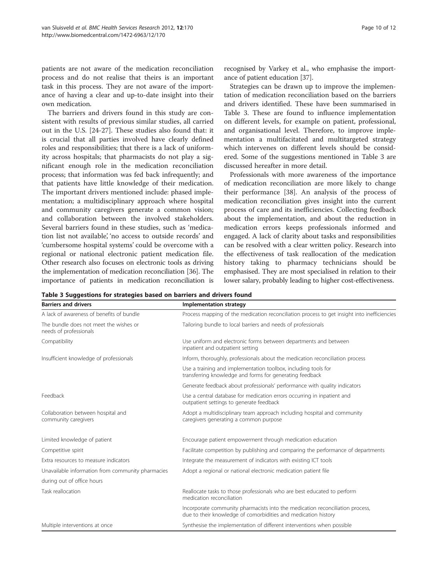patients are not aware of the medication reconciliation process and do not realise that theirs is an important task in this process. They are not aware of the importance of having a clear and up-to-date insight into their own medication.

The barriers and drivers found in this study are consistent with results of previous similar studies, all carried out in the U.S. [[24-27\]](#page-11-0). These studies also found that: it is crucial that all parties involved have clearly defined roles and responsibilities; that there is a lack of uniformity across hospitals; that pharmacists do not play a significant enough role in the medication reconciliation process; that information was fed back infrequently; and that patients have little knowledge of their medication. The important drivers mentioned include: phased implementation; a multidisciplinary approach where hospital and community caregivers generate a common vision; and collaboration between the involved stakeholders. Several barriers found in these studies, such as 'medication list not available', 'no access to outside records' and 'cumbersome hospital systems' could be overcome with a regional or national electronic patient medication file. Other research also focuses on electronic tools as driving the implementation of medication reconciliation [\[36\]](#page-11-0). The importance of patients in medication reconciliation is

Strategies can be drawn up to improve the implementation of medication reconciliation based on the barriers and drivers identified. These have been summarised in Table 3. These are found to influence implementation on different levels, for example on patient, professional, and organisational level. Therefore, to improve implementation a multifacitated and multitargeted strategy which intervenes on different levels should be considered. Some of the suggestions mentioned in Table 3 are discussed hereafter in more detail.

Professionals with more awareness of the importance of medication reconciliation are more likely to change their performance [\[38\]](#page-11-0). An analysis of the process of medication reconciliation gives insight into the current process of care and its inefficiencies. Collecting feedback about the implementation, and about the reduction in medication errors keeps professionals informed and engaged. A lack of clarity about tasks and responsibilities can be resolved with a clear written policy. Research into the effectiveness of task reallocation of the medication history taking to pharmacy technicians should be emphasised. They are most specialised in relation to their lower salary, probably leading to higher cost-effectiveness.

| Table 3 Suggestions for strategies based on barriers and drivers found |  |  |
|------------------------------------------------------------------------|--|--|
|                                                                        |  |  |

| <b>Barriers and drivers</b>                                      | Implementation strategy                                                                                                                         |  |  |
|------------------------------------------------------------------|-------------------------------------------------------------------------------------------------------------------------------------------------|--|--|
| A lack of awareness of benefits of bundle                        | Process mapping of the medication reconciliation process to get insight into inefficiencies                                                     |  |  |
| The bundle does not meet the wishes or<br>needs of professionals | Tailoring bundle to local barriers and needs of professionals                                                                                   |  |  |
| Compatibility                                                    | Use uniform and electronic forms between departments and between<br>inpatient and outpatient setting                                            |  |  |
| Insufficient knowledge of professionals                          | Inform, thoroughly, professionals about the medication reconciliation process                                                                   |  |  |
|                                                                  | Use a training and implementation toolbox, including tools for<br>transferring knowledge and forms for generating feedback                      |  |  |
|                                                                  | Generate feedback about professionals' performance with quality indicators                                                                      |  |  |
| Feedback                                                         | Use a central database for medication errors occurring in inpatient and<br>outpatient settings to generate feedback                             |  |  |
| Collaboration between hospital and<br>community caregivers       | Adopt a multidisciplinary team approach including hospital and community<br>caregivers generating a common purpose                              |  |  |
| Limited knowledge of patient                                     | Encourage patient empowerment through medication education                                                                                      |  |  |
| Competitive spirit                                               | Facilitate competition by publishing and comparing the performance of departments                                                               |  |  |
| Extra resources to measure indicators                            | Integrate the measurement of indicators with existing ICT tools                                                                                 |  |  |
| Unavailable information from community pharmacies                | Adopt a regional or national electronic medication patient file                                                                                 |  |  |
| during out of office hours                                       |                                                                                                                                                 |  |  |
| Task reallocation                                                | Reallocate tasks to those professionals who are best educated to perform<br>medication reconciliation                                           |  |  |
|                                                                  | Incorporate community pharmacists into the medication reconciliation process,<br>due to their knowledge of comorbidities and medication history |  |  |
| Multiple interventions at once                                   | Synthesise the implementation of different interventions when possible                                                                          |  |  |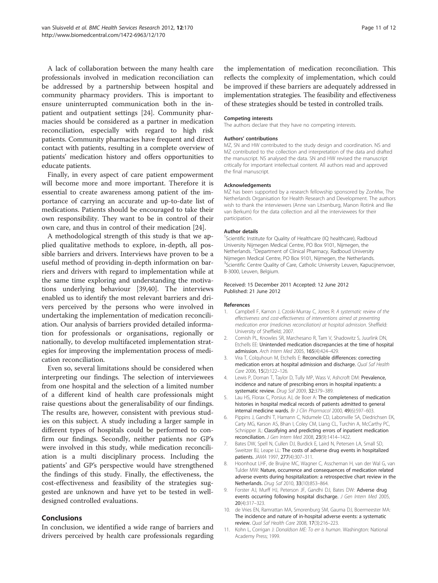<span id="page-10-0"></span>A lack of collaboration between the many health care professionals involved in medication reconciliation can be addressed by a partnership between hospital and community pharmacy providers. This is important to ensure uninterrupted communication both in the inpatient and outpatient settings [\[24\]](#page-11-0). Community pharmacies should be considered as a partner in medication reconciliation, especially with regard to high risk patients. Community pharmacies have frequent and direct contact with patients, resulting in a complete overview of patients' medication history and offers opportunities to educate patients.

Finally, in every aspect of care patient empowerment will become more and more important. Therefore it is essential to create awareness among patient of the importance of carrying an accurate and up-to-date list of medications. Patients should be encouraged to take their own responsibility. They want to be in control of their own care, and thus in control of their medication [\[24](#page-11-0)].

A methodological strength of this study is that we applied qualitative methods to explore, in-depth, all possible barriers and drivers. Interviews have proven to be a useful method of providing in-depth information on barriers and drivers with regard to implementation while at the same time exploring and understanding the motivations underlying behaviour [[39,40\]](#page-11-0). The interviews enabled us to identify the most relevant barriers and drivers perceived by the persons who were involved in undertaking the implementation of medication reconciliation. Our analysis of barriers provided detailed information for professionals or organisations, regionally or nationally, to develop multifaceted implementation strategies for improving the implementation process of medication reconciliation.

Even so, several limitations should be considered when interpreting our findings. The selection of interviewees from one hospital and the selection of a limited number of a different kind of health care professionals might raise questions about the generalisability of our findings. The results are, however, consistent with previous studies on this subject. A study including a larger sample in different types of hospitals could be performed to confirm our findings. Secondly, neither patients nor GP's were involved in this study, while medication reconciliation is a multi disciplinary process. Including the patients' and GP's perspective would have strengthened the findings of this study. Finally, the effectiveness, the cost-effectiveness and feasibility of the strategies suggested are unknown and have yet to be tested in welldesigned controlled evaluations.

## Conclusions

In conclusion, we identified a wide range of barriers and drivers perceived by health care professionals regarding the implementation of medication reconciliation. This reflects the complexity of implementation, which could be improved if these barriers are adequately addressed in implementation strategies. The feasibility and effectiveness of these strategies should be tested in controlled trails.

#### Competing interests

The authors declare that they have no competing interests.

#### Authors' contributions

MZ, SN and HW contributed to the study design and coordination. NS and MZ contributed to the collection and interpretation of the data and drafted the manuscript. NS analysed the data. SN and HW revised the manuscript critically for important intellectual content. All authors read and approved the final manuscript.

#### Acknowledgements

MZ has been supported by a research fellowship sponsored by ZonMw, The Netherlands Organisation for Health Research and Development. The authors wish to thank the interviewers (Anne van Litsenburg, Manon Rotink and Ilke van Berkum) for the data collection and all the interviewees for their participation.

#### Author details

<sup>1</sup>Scientific Institute for Quality of Healthcare (IQ healthcare), Radboud University Nijmegen Medical Centre, PO Box 9101, Nijmegen, the Netherlands. <sup>2</sup> Department of Clinical Pharmacy, Radboud University Nijmegen Medical Centre, PO Box 9101, Nijmegen, the Netherlands. <sup>3</sup>Scientific Centre Quality of Care, Catholic University Leuven, Kapucijnenvoer, B-3000, Leuven, Belgium.

#### Received: 15 December 2011 Accepted: 12 June 2012 Published: 21 June 2012

#### References

- 1. Campbell F, Karnon J, Czoski-Murray C, Jones R: A systematic review of the effectiveness and cost-effectiveness of interventions aimed at preventing medication error (medicines reconciliation) at hospital admission. Sheffield: University of Sheffield; 2007.
- 2. Cornish PL, Knowles SR, Marchesano R, Tam V, Shadowitz S, Juurlink DN, Etchells EE: Unintended medication discrepancies at the time of hospital admission. Arch Intern Med 2005, 165(4):424–429.
- 3. Vira T, Colquhoun M, Etchells E: Reconcilable differences: correcting medication errors at hospital admission and discharge. Qual Saf Health Care 2006, 15(2):122–126.
- 4. Lewis P, Dornan T, Taylor D, Tully MP, Wass V, Ashcroft DM: Prevalence, incidence and nature of prescribing errors in hospital inpatients: a systematic review. Drug Saf 2009, 32:379–389.
- 5. Lau HS, Florax C, Porsius AJ, de Boer A: The completeness of medication histories in hospital medical records of patients admitted to general internal medicine wards. Br J Clin Pharmacol 2000, 49(6):597–603.
- 6. Pippins J, Gandhi T, Hamann C, Ndumele CD, Labonville SA, Diedrichsen EK, Carty MG, Karson AS, Bhan I, Coley CM, Liang CL, Turchin A, McCarthy PC, Schnipper JL: Classifying and predicting errors of inpatient medication reconciliation. J Gen Intern Med 2008, 23(9):1414–1422.
- 7. Bates DW, Spell N, Cullen DJ, Burdick E, Laird N, Petersen LA, Small SD, Sweitzer BJ, Leape LL: The costs of adverse drug events in hospitalized patients. JAMA 1997, 277(4):307–311.
- 8. Hoonhout LHF, de Bruijne MC, Wagner C, Asscheman H, van der Wal G, van Tulder MW: Nature, occurrence and consequences of medication related adverse events during hospitalization: a retrospective chart review in the Netherlands. Drug Saf 2010, 33(10):853–864.
- 9. Forster AJ, Murff HJ, Peterson JF, Gandhi DJ, Bates DW: Adverse drug events occurring following hospital discharge. J Gen Intern Med 2005, 20(4):317–323.
- 10. de Vries EN, Ramrattan MA, Smorenburg SM, Gauma DJ, Boermeester MA: The incidence and nature of in-hospital adverse events: a systematic review. Qual Saf Health Care 2008, 17(3):216–223.
- 11. Kohn L, Corrigan J: Donaldson ME: To err is human. Washington: National Academy Press; 1999.